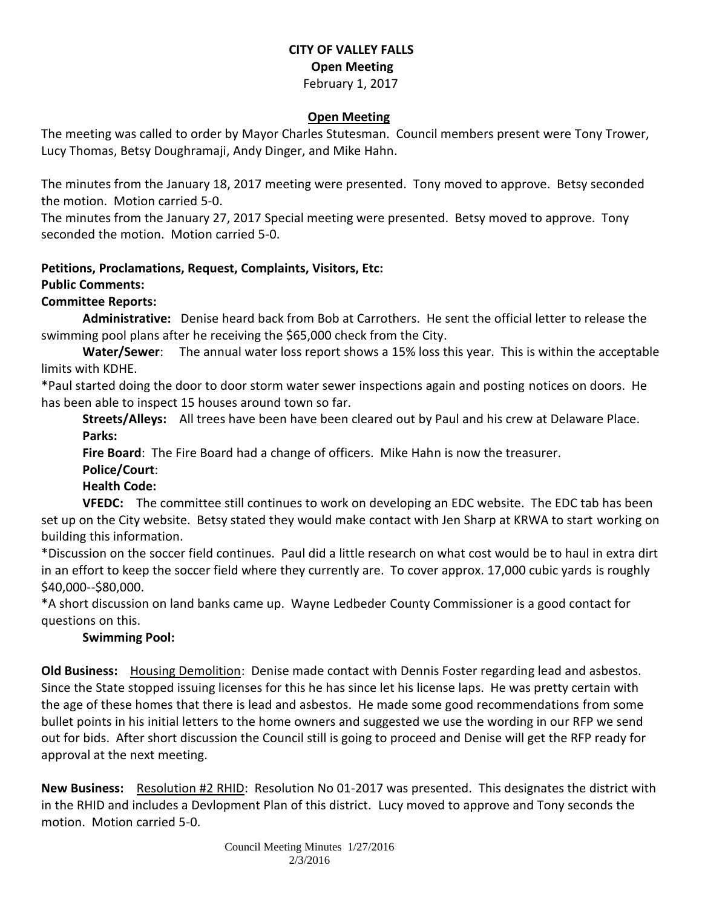### **CITY OF VALLEY FALLS Open Meeting** February 1, 2017

#### **Open Meeting**

The meeting was called to order by Mayor Charles Stutesman. Council members present were Tony Trower, Lucy Thomas, Betsy Doughramaji, Andy Dinger, and Mike Hahn.

The minutes from the January 18, 2017 meeting were presented. Tony moved to approve. Betsy seconded the motion. Motion carried 5-0.

The minutes from the January 27, 2017 Special meeting were presented. Betsy moved to approve. Tony seconded the motion. Motion carried 5-0.

#### **Petitions, Proclamations, Request, Complaints, Visitors, Etc:**

#### **Public Comments:**

### **Committee Reports:**

**Administrative:** Denise heard back from Bob at Carrothers. He sent the official letter to release the swimming pool plans after he receiving the \$65,000 check from the City.

**Water/Sewer**: The annual water loss report shows a 15% loss this year. This is within the acceptable limits with KDHE.

\*Paul started doing the door to door storm water sewer inspections again and posting notices on doors. He has been able to inspect 15 houses around town so far.

**Streets/Alleys:** All trees have been have been cleared out by Paul and his crew at Delaware Place. **Parks:** 

**Fire Board**: The Fire Board had a change of officers. Mike Hahn is now the treasurer.

**Police/Court**:

# **Health Code:**

**VFEDC:** The committee still continues to work on developing an EDC website. The EDC tab has been set up on the City website. Betsy stated they would make contact with Jen Sharp at KRWA to start working on building this information.

\*Discussion on the soccer field continues. Paul did a little research on what cost would be to haul in extra dirt in an effort to keep the soccer field where they currently are. To cover approx. 17,000 cubic yards is roughly \$40,000--\$80,000.

\*A short discussion on land banks came up. Wayne Ledbeder County Commissioner is a good contact for questions on this.

# **Swimming Pool:**

**Old Business:** Housing Demolition: Denise made contact with Dennis Foster regarding lead and asbestos. Since the State stopped issuing licenses for this he has since let his license laps. He was pretty certain with the age of these homes that there is lead and asbestos. He made some good recommendations from some bullet points in his initial letters to the home owners and suggested we use the wording in our RFP we send out for bids. After short discussion the Council still is going to proceed and Denise will get the RFP ready for approval at the next meeting.

**New Business:** Resolution #2 RHID: Resolution No 01-2017 was presented. This designates the district with in the RHID and includes a Devlopment Plan of this district. Lucy moved to approve and Tony seconds the motion. Motion carried 5-0.